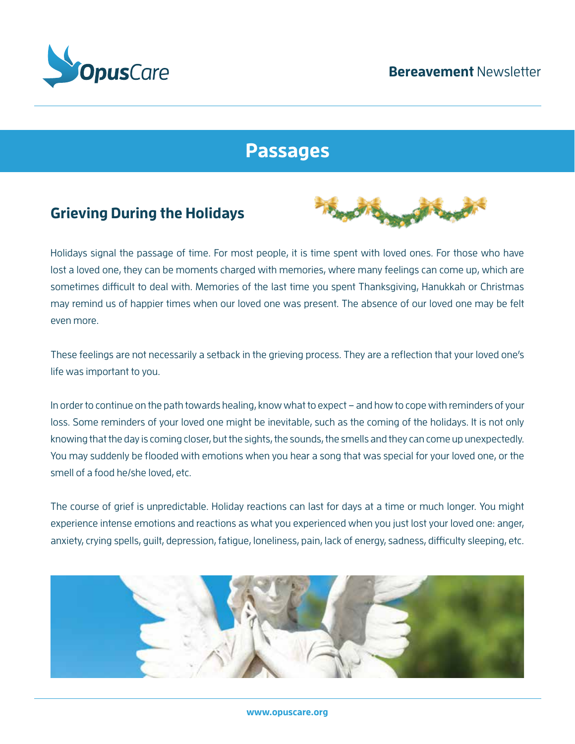

## **Passages**

### **Grieving During the Holidays**



Holidays signal the passage of time. For most people, it is time spent with loved ones. For those who have lost a loved one, they can be moments charged with memories, where many feelings can come up, which are sometimes difficult to deal with. Memories of the last time you spent Thanksgiving, Hanukkah or Christmas may remind us of happier times when our loved one was present. The absence of our loved one may be felt even more.

These feelings are not necessarily a setback in the grieving process. They are a reflection that your loved one's life was important to you.

In order to continue on the path towards healing, know what to expect – and how to cope with reminders of your loss. Some reminders of your loved one might be inevitable, such as the coming of the holidays. It is not only knowing that the day is coming closer, but the sights, the sounds, the smells and they can come up unexpectedly. You may suddenly be flooded with emotions when you hear a song that was special for your loved one, or the smell of a food he/she loved, etc.

The course of grief is unpredictable. Holiday reactions can last for days at a time or much longer. You might experience intense emotions and reactions as what you experienced when you just lost your loved one: anger, anxiety, crying spells, guilt, depression, fatigue, loneliness, pain, lack of energy, sadness, difficulty sleeping, etc.

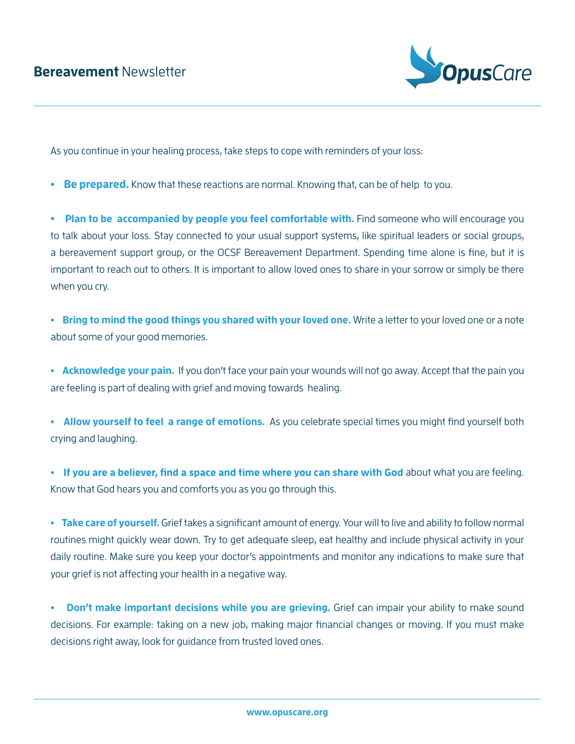

As you continue in your healing process, take steps to cope with reminders of your loss:

• **Be prepared.** Know that these reactions are normal. Knowing that, can be of help to you.

**• Plan to be accompanied by people you feel comfortable with.** Find someone who will encourage you to talk about your loss. Stay connected to your usual support systems, like spiritual leaders or social groups, a bereavement support group, or the OCSF Bereavement Department. Spending time alone is fine, but it is important to reach out to others. It is important to allow loved ones to share in your sorrow or simply be there when you cry.

**• Bring to mind the good things you shared with your loved one.** Write a letter to your loved one or a note about some of your good memories.

**• Acknowledge your pain.** If you don't face your pain your wounds will not go away. Accept that the pain you are feeling is part of dealing with grief and moving towards healing.

**• Allow yourself to feel a range of emotions.** As you celebrate special times you might find yourself both crying and laughing.

• If you are a believer, find a space and time where you can share with God about what you are feeling. Know that God hears you and comforts you as you go through this.

**• Take care of yourself.** Grief takes a significant amount of energy. Your will to live and ability to follow normal routines might quickly wear down. Try to get adequate sleep, eat healthy and include physical activity in your daily routine. Make sure you keep your doctor's appointments and monitor any indications to make sure that your grief is not affecting your health in a negative way.

**• Don't make important decisions while you are grieving.** Grief can impair your ability to make sound decisions. For example: taking on a new job, making major financial changes or moving. If you must make decisions right away, look for guidance from trusted loved ones.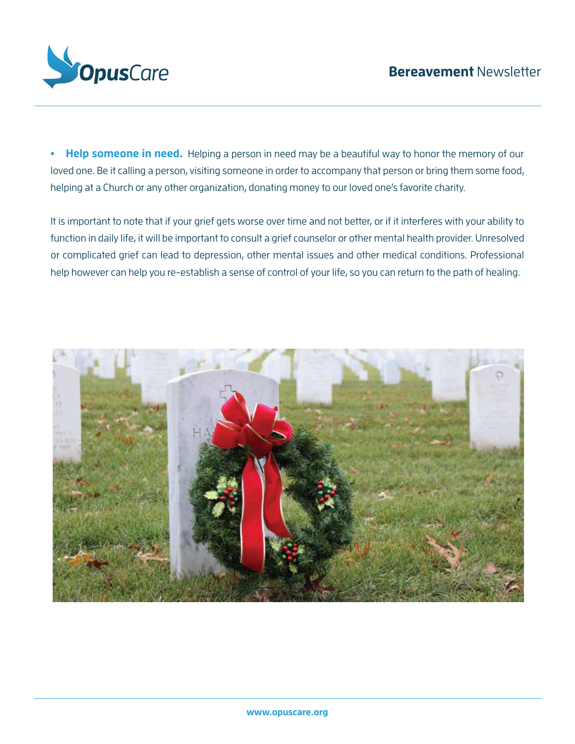

**• Help someone in need.** Helping a person in need may be a beautiful way to honor the memory of our loved one. Be it calling a person, visiting someone in order to accompany that person or bring them some food, helping at a Church or any other organization, donating money to our loved one's favorite charity.

It is important to note that if your grief gets worse over time and not better, or if it interferes with your ability to function in daily life, it will be important to consult a grief counselor or other mental health provider. Unresolved or complicated grief can lead to depression, other mental issues and other medical conditions. Professional help however can help you re-establish a sense of control of your life, so you can return to the path of healing.

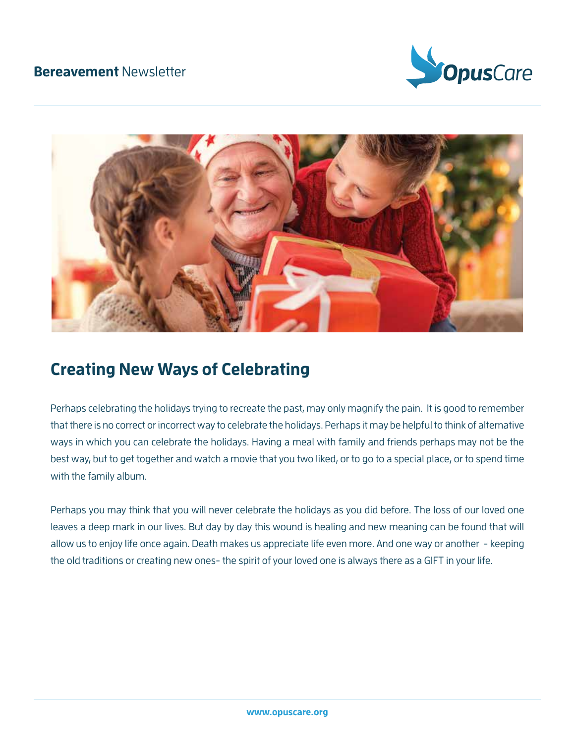



## **Creating New Ways of Celebrating**

Perhaps celebrating the holidays trying to recreate the past, may only magnify the pain. It is good to remember that there is no correct or incorrect way to celebrate the holidays. Perhaps it may be helpful to think of alternative ways in which you can celebrate the holidays. Having a meal with family and friends perhaps may not be the best way, but to get together and watch a movie that you two liked, or to go to a special place, or to spend time with the family album.

Perhaps you may think that you will never celebrate the holidays as you did before. The loss of our loved one leaves a deep mark in our lives. But day by day this wound is healing and new meaning can be found that will allow us to enjoy life once again. Death makes us appreciate life even more. And one way or another - keeping the old traditions or creating new ones- the spirit of your loved one is always there as a GIFT in your life.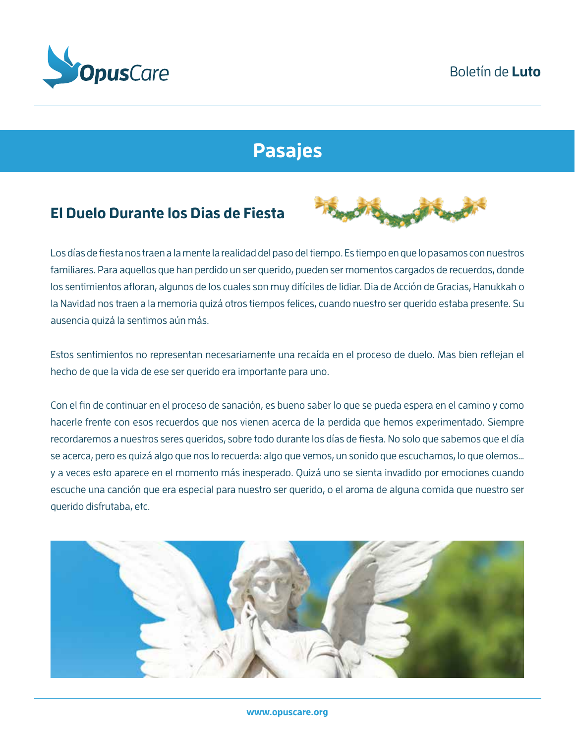

# **Pasajes**

### **El Duelo Durante los Dias de Fiesta**



Los días de fiesta nos traen a la mente la realidad del paso del tiempo. Es tiempo en que lo pasamos con nuestros familiares. Para aquellos que han perdido un ser querido, pueden ser momentos cargados de recuerdos, donde los sentimientos afloran, algunos de los cuales son muy difíciles de lidiar. Dia de Acción de Gracias, Hanukkah o la Navidad nos traen a la memoria quizá otros tiempos felices, cuando nuestro ser querido estaba presente. Su ausencia quizá la sentimos aún más.

Estos sentimientos no representan necesariamente una recaída en el proceso de duelo. Mas bien reflejan el hecho de que la vida de ese ser querido era importante para uno.

Con el fin de continuar en el proceso de sanación, es bueno saber lo que se pueda espera en el camino y como hacerle frente con esos recuerdos que nos vienen acerca de la perdida que hemos experimentado. Siempre recordaremos a nuestros seres queridos, sobre todo durante los días de fiesta. No solo que sabemos que el día se acerca, pero es quizá algo que nos lo recuerda: algo que vemos, un sonido que escuchamos, lo que olemos… y a veces esto aparece en el momento más inesperado. Quizá uno se sienta invadido por emociones cuando escuche una canción que era especial para nuestro ser querido, o el aroma de alguna comida que nuestro ser querido disfrutaba, etc.

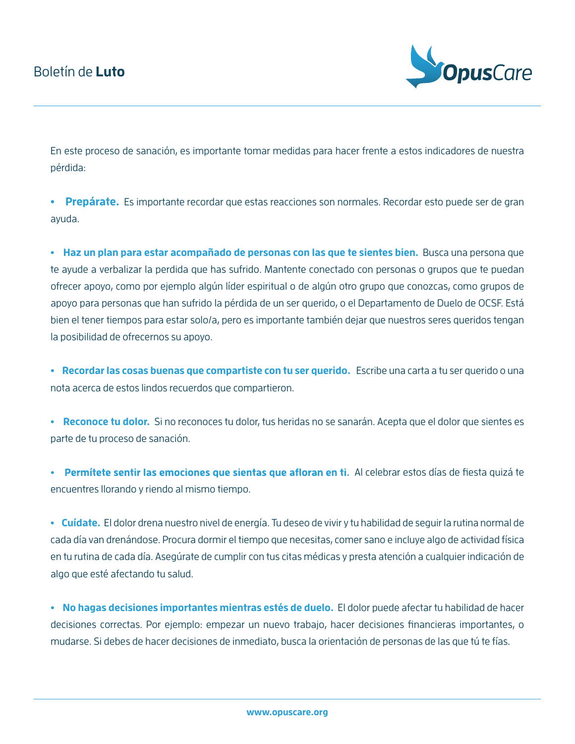

En este proceso de sanación, es importante tomar medidas para hacer frente a estos indicadores de nuestra pérdida:

**• Prepárate.** Es importante recordar que estas reacciones son normales. Recordar esto puede ser de gran ayuda.

**• Haz un plan para estar acompañado de personas con las que te sientes bien.** Busca una persona que te ayude a verbalizar la perdida que has sufrido. Mantente conectado con personas o grupos que te puedan ofrecer apoyo, como por ejemplo algún líder espiritual o de algún otro grupo que conozcas, como grupos de apoyo para personas que han sufrido la pérdida de un ser querido, o el Departamento de Duelo de OCSF. Está bien el tener tiempos para estar solo/a, pero es importante también dejar que nuestros seres queridos tengan la posibilidad de ofrecernos su apoyo.

**• Recordar las cosas buenas que compartiste con tu ser querido.** Escribe una carta a tu ser querido o una nota acerca de estos lindos recuerdos que compartieron.

**• Reconoce tu dolor.** Si no reconoces tu dolor, tus heridas no se sanarán. Acepta que el dolor que sientes es parte de tu proceso de sanación.

• Permítete sentir las emociones que sientas que afloran en ti. Al celebrar estos días de fiesta quizá te encuentres llorando y riendo al mismo tiempo.

**• Cuídate.** El dolor drena nuestro nivel de energía. Tu deseo de vivir y tu habilidad de seguir la rutina normal de cada día van drenándose. Procura dormir el tiempo que necesitas, comer sano e incluye algo de actividad física en tu rutina de cada día. Asegúrate de cumplir con tus citas médicas y presta atención a cualquier indicación de algo que esté afectando tu salud.

**• No hagas decisiones importantes mientras estés de duelo.** El dolor puede afectar tu habilidad de hacer decisiones correctas. Por ejemplo: empezar un nuevo trabajo, hacer decisiones financieras importantes, o mudarse. Si debes de hacer decisiones de inmediato, busca la orientación de personas de las que tú te fías.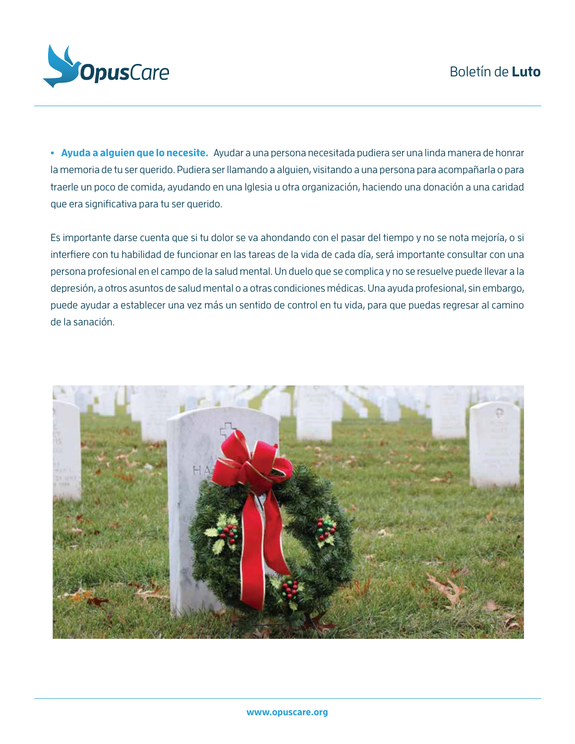

**• Ayuda a alguien que lo necesite.** Ayudar a una persona necesitada pudiera ser una linda manera de honrar la memoria de tu ser querido. Pudiera ser llamando a alguien, visitando a una persona para acompañarla o para traerle un poco de comida, ayudando en una Iglesia u otra organización, haciendo una donación a una caridad que era significativa para tu ser querido.

Es importante darse cuenta que si tu dolor se va ahondando con el pasar del tiempo y no se nota mejoría, o si interfiere con tu habilidad de funcionar en las tareas de la vida de cada día, será importante consultar con una persona profesional en el campo de la salud mental. Un duelo que se complica y no se resuelve puede llevar a la depresión, a otros asuntos de salud mental o a otras condiciones médicas. Una ayuda profesional, sin embargo, puede ayudar a establecer una vez más un sentido de control en tu vida, para que puedas regresar al camino de la sanación.